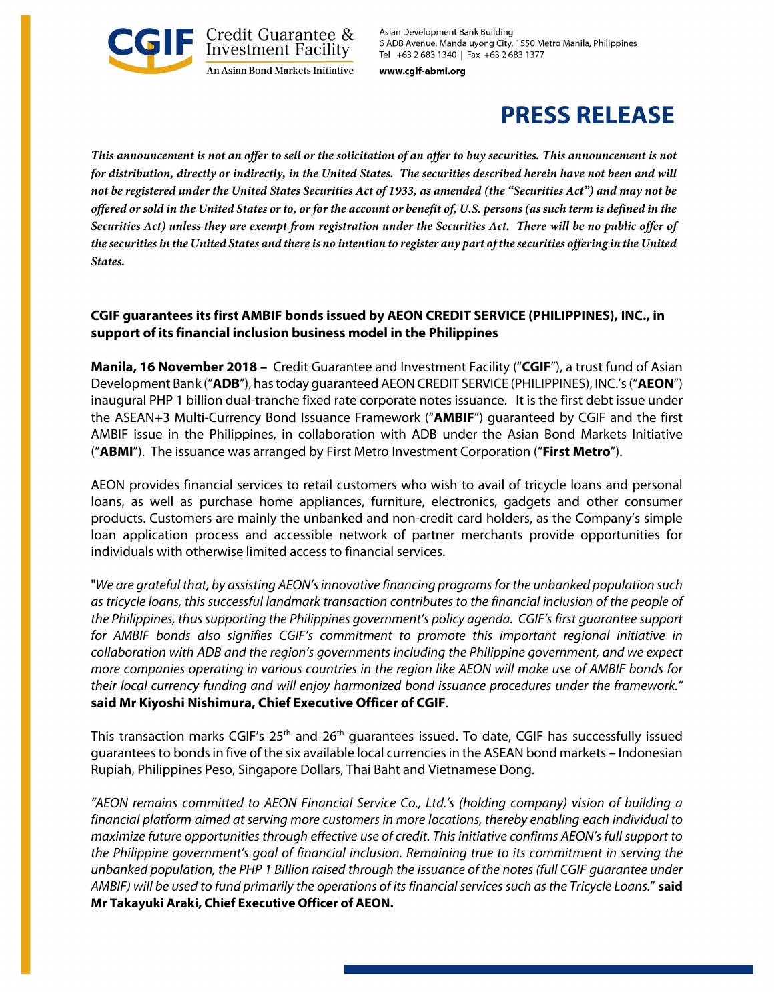

Asian Development Bank Building 6 ADB Avenue, Mandaluyong City, 1550 Metro Manila, Philippines Tel +63 2 683 1340 | Fax +63 2 683 1377

www.cgif-abmi.org

# **PRESS RELEASE**

*This announcement is not an offer to sell or the solicitation of an offer to buy securities. This announcement is not for distribution, directly or indirectly, in the United States. The securities described herein have not been and will not be registered under the United States Securities Act of 1933, as amended (the "Securities Act") and may not be offered or sold in the United States or to, or for the account or benefit of, U.S. persons (as such term is defined in the Securities Act) unless they are exempt from registration under the Securities Act. There will be no public offer of the securities in the United States and there is no intention to register any part of the securities offering in the United States.*

## **CGIF guarantees its first AMBIF bonds issued by AEON CREDIT SERVICE (PHILIPPINES), INC., in support of its financial inclusion business model in the Philippines**

**Manila, 16 November 2018 –** Credit Guarantee and Investment Facility ("**CGIF**"), a trust fund of Asian Development Bank ("**ADB**"), has today guaranteed AEON CREDIT SERVICE (PHILIPPINES), INC.'s ("**AEON**") inaugural PHP 1 billion dual-tranche fixed rate corporate notes issuance. It is the first debt issue under the ASEAN+3 Multi-Currency Bond Issuance Framework ("**AMBIF**") guaranteed by CGIF and the first AMBIF issue in the Philippines, in collaboration with ADB under the Asian Bond Markets Initiative ("**ABMI**"). The issuance was arranged by First Metro Investment Corporation ("**First Metro**").

AEON provides financial services to retail customers who wish to avail of tricycle loans and personal loans, as well as purchase home appliances, furniture, electronics, gadgets and other consumer products. Customers are mainly the unbanked and non-credit card holders, as the Company's simple loan application process and accessible network of partner merchants provide opportunities for individuals with otherwise limited access to financial services.

"*We are grateful that, by assisting AEON's innovative financing programs for the unbanked population such as tricycle loans, this successful landmark transaction contributes to the financial inclusion of the people of the Philippines, thus supporting the Philippines government's policy agenda. CGIF's first guarantee support for AMBIF bonds also signifies CGIF's commitment to promote this important regional initiative in collaboration with ADB and the region's governments including the Philippine government, and we expect more companies operating in various countries in the region like AEON will make use of AMBIF bonds for their local currency funding and will enjoy harmonized bond issuance procedures under the framework."*  **said Mr Kiyoshi Nishimura, Chief Executive Officer of CGIF**.

This transaction marks CGIF's 25<sup>th</sup> and 26<sup>th</sup> guarantees issued. To date, CGIF has successfully issued guarantees to bonds in five of the six available local currencies in the ASEAN bond markets – Indonesian Rupiah, Philippines Peso, Singapore Dollars, Thai Baht and Vietnamese Dong.

*"AEON remains committed to AEON Financial Service Co., Ltd.'s (holding company) vision of building a financial platform aimed at serving more customers in more locations, thereby enabling each individual to maximize future opportunities through effective use of credit. This initiative confirms AEON's full support to the Philippine government's goal of financial inclusion. Remaining true to its commitment in serving the unbanked population, the PHP 1 Billion raised through the issuance of the notes (full CGIF guarantee under AMBIF) will be used to fund primarily the operations of its financial services such as the Tricycle Loans.*" **said Mr Takayuki Araki, Chief Executive Officer of AEON.**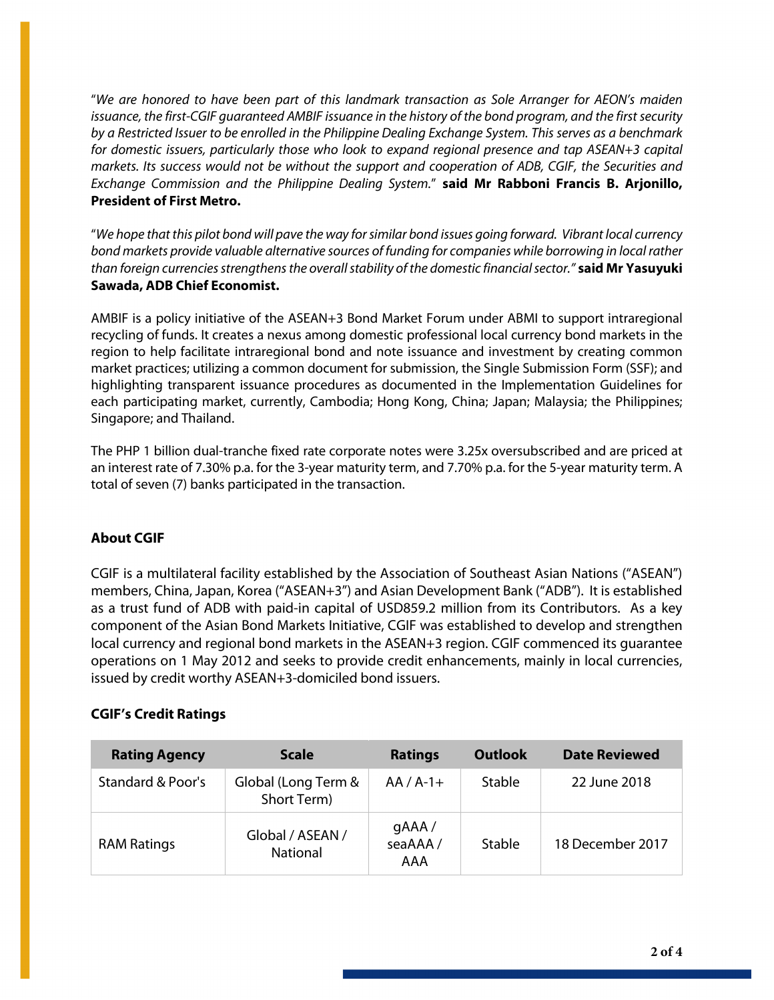"*We are honored to have been part of this landmark transaction as Sole Arranger for AEON's maiden issuance, the first-CGIF guaranteed AMBIF issuance in the history of the bond program, and the first security by a Restricted Issuer to be enrolled in the Philippine Dealing Exchange System. This serves as a benchmark for domestic issuers, particularly those who look to expand regional presence and tap ASEAN+3 capital markets. Its success would not be without the support and cooperation of ADB, CGIF, the Securities and Exchange Commission and the Philippine Dealing System.*" **said Mr Rabboni Francis B. Arjonillo, President of First Metro.**

"*We hope that this pilot bond will pave the way for similar bond issues going forward. Vibrant local currency bond markets provide valuable alternative sources of funding for companies while borrowing in local rather than foreign currencies strengthens the overall stability of the domestic financial sector."* **said Mr Yasuyuki Sawada, ADB Chief Economist.**

AMBIF is a policy initiative of the ASEAN+3 Bond Market Forum under ABMI to support intraregional recycling of funds. It creates a nexus among domestic professional local currency bond markets in the region to help facilitate intraregional bond and note issuance and investment by creating common market practices; utilizing a common document for submission, the Single Submission Form (SSF); and highlighting transparent issuance procedures as documented in the Implementation Guidelines for each participating market, currently, Cambodia; Hong Kong, China; Japan; Malaysia; the Philippines; Singapore; and Thailand.

The PHP 1 billion dual-tranche fixed rate corporate notes were 3.25x oversubscribed and are priced at an interest rate of 7.30% p.a. for the 3-year maturity term, and 7.70% p.a. for the 5-year maturity term. A total of seven (7) banks participated in the transaction.

# **About CGIF**

CGIF is a multilateral facility established by the Association of Southeast Asian Nations ("ASEAN") members, China, Japan, Korea ("ASEAN+3") and Asian Development Bank ("ADB"). It is established as a trust fund of ADB with paid-in capital of USD859.2 million from its Contributors. As a key component of the Asian Bond Markets Initiative, CGIF was established to develop and strengthen local currency and regional bond markets in the ASEAN+3 region. CGIF commenced its guarantee operations on 1 May 2012 and seeks to provide credit enhancements, mainly in local currencies, issued by credit worthy ASEAN+3-domiciled bond issuers.

# **CGIF's Credit Ratings**

| <b>Rating Agency</b> | <b>Scale</b>                        | <b>Ratings</b>          | <b>Outlook</b> | <b>Date Reviewed</b> |
|----------------------|-------------------------------------|-------------------------|----------------|----------------------|
| Standard & Poor's    | Global (Long Term &<br>Short Term)  | $AA/A-1+$               | Stable         | 22 June 2018         |
| <b>RAM Ratings</b>   | Global / ASEAN /<br><b>National</b> | gAAA/<br>seaAAA/<br>AAA | Stable         | 18 December 2017     |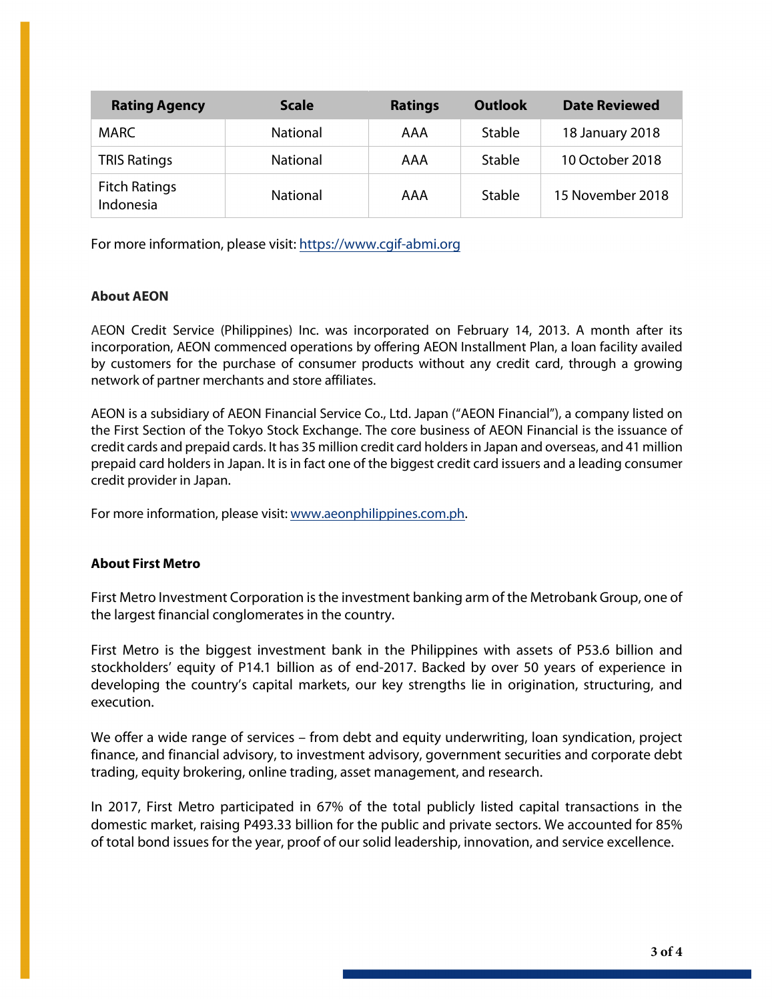| <b>Rating Agency</b>              | <b>Scale</b>    | <b>Ratings</b> | <b>Outlook</b> | <b>Date Reviewed</b> |
|-----------------------------------|-----------------|----------------|----------------|----------------------|
| MARC.                             | <b>National</b> | AAA            | Stable         | 18 January 2018      |
| <b>TRIS Ratings</b>               | <b>National</b> | AAA            | Stable         | 10 October 2018      |
| <b>Fitch Ratings</b><br>Indonesia | <b>National</b> | AAA            | Stable         | 15 November 2018     |

For more information, please visit: [https://www.cgif-abmi.org](https://www.cgif-abmi.org/)

## **About AEON**

AEON Credit Service (Philippines) Inc. was incorporated on February 14, 2013. A month after its incorporation, AEON commenced operations by offering AEON Installment Plan, a loan facility availed by customers for the purchase of consumer products without any credit card, through a growing network of partner merchants and store affiliates.

AEON is a subsidiary of AEON Financial Service Co., Ltd. Japan ("AEON Financial"), a company listed on the First Section of the Tokyo Stock Exchange. The core business of AEON Financial is the issuance of credit cards and prepaid cards. It has 35 million credit card holders in Japan and overseas, and 41 million prepaid card holders in Japan. It is in fact one of the biggest credit card issuers and a leading consumer credit provider in Japan.

For more information, please visit: [www.aeonphilippines.com.ph.](http://www.aeonphilippines.com.ph/)

### **About First Metro**

First Metro Investment Corporation is the investment banking arm of the Metrobank Group, one of the largest financial conglomerates in the country.

First Metro is the biggest investment bank in the Philippines with assets of P53.6 billion and stockholders' equity of P14.1 billion as of end-2017. Backed by over 50 years of experience in developing the country's capital markets, our key strengths lie in origination, structuring, and execution.

We offer a wide range of services – from debt and equity underwriting, loan syndication, project finance, and financial advisory, to investment advisory, government securities and corporate debt trading, equity brokering, online trading, asset management, and research.

In 2017, First Metro participated in 67% of the total publicly listed capital transactions in the domestic market, raising P493.33 billion for the public and private sectors. We accounted for 85% of total bond issues for the year, proof of our solid leadership, innovation, and service excellence.